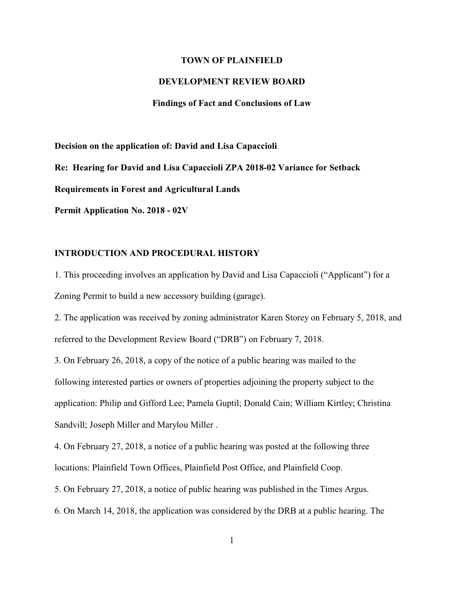#### **TOWN OF PLAINFIELD**

### **DEVELOPMENT REVIEW BOARD**

#### **Findings of Fact and Conclusions of Law**

**Decision on the application of: David and Lisa Capaccioli Re: Hearing for David and Lisa Capaccioli ZPA 2018-02 Variance for Setback Requirements in Forest and Agricultural Lands Permit Application No. 2018 - 02V**

### **INTRODUCTION AND PROCEDURAL HISTORY**

1. This proceeding involves an application by David and Lisa Capaccioli ("Applicant") for a Zoning Permit to build a new accessory building (garage).

2. The application was received by zoning administrator Karen Storey on February 5, 2018, and referred to the Development Review Board ("DRB") on February 7, 2018.

3. On February 26, 2018, a copy of the notice of a public hearing was mailed to the following interested parties or owners of properties adjoining the property subject to the application: Philip and Gifford Lee; Pamela Guptil; Donald Cain; William Kirtley; Christina Sandvill; Joseph Miller and Marylou Miller .

4. On February 27, 2018, a notice of a public hearing was posted at the following three locations: Plainfield Town Offices, Plainfield Post Office, and Plainfield Coop.

5. On February 27, 2018, a notice of public hearing was published in the Times Argus.

6. On March 14, 2018, the application was considered by the DRB at a public hearing. The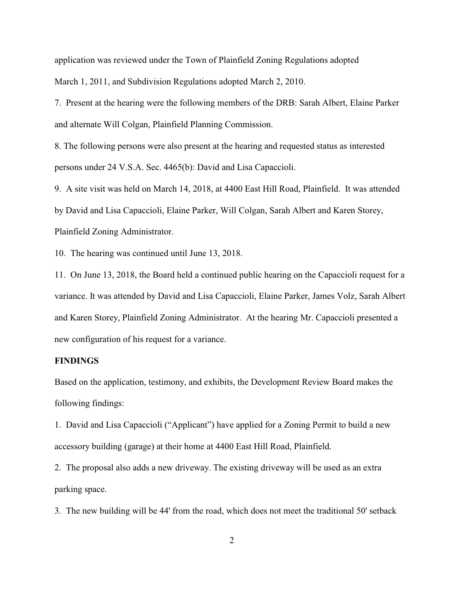application was reviewed under the Town of Plainfield Zoning Regulations adopted March 1, 2011, and Subdivision Regulations adopted March 2, 2010.

7. Present at the hearing were the following members of the DRB: Sarah Albert, Elaine Parker and alternate Will Colgan, Plainfield Planning Commission.

8. The following persons were also present at the hearing and requested status as interested persons under 24 V.S.A. Sec. 4465(b): David and Lisa Capaccioli.

9. A site visit was held on March 14, 2018, at 4400 East Hill Road, Plainfield. It was attended by David and Lisa Capaccioli, Elaine Parker, Will Colgan, Sarah Albert and Karen Storey, Plainfield Zoning Administrator.

10. The hearing was continued until June 13, 2018.

11. On June 13, 2018, the Board held a continued public hearing on the Capaccioli request for a variance. It was attended by David and Lisa Capaccioli, Elaine Parker, James Volz, Sarah Albert and Karen Storey, Plainfield Zoning Administrator. At the hearing Mr. Capaccioli presented a new configuration of his request for a variance.

## **FINDINGS**

Based on the application, testimony, and exhibits, the Development Review Board makes the following findings:

1. David and Lisa Capaccioli ("Applicant") have applied for a Zoning Permit to build a new accessory building (garage) at their home at 4400 East Hill Road, Plainfield.

2. The proposal also adds a new driveway. The existing driveway will be used as an extra parking space.

3. The new building will be 44' from the road, which does not meet the traditional 50' setback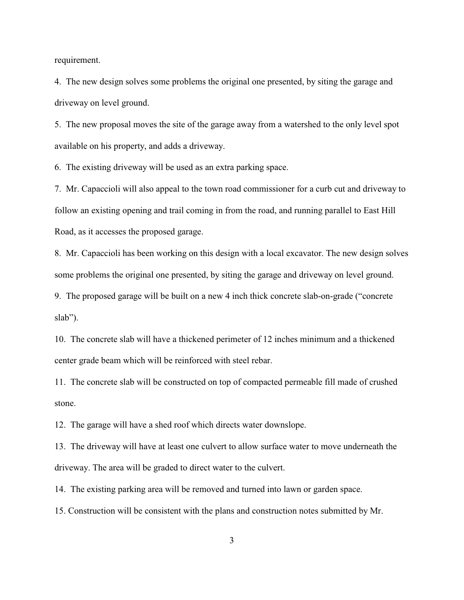requirement.

4. The new design solves some problems the original one presented, by siting the garage and driveway on level ground.

5. The new proposal moves the site of the garage away from a watershed to the only level spot available on his property, and adds a driveway.

6. The existing driveway will be used as an extra parking space.

7. Mr. Capaccioli will also appeal to the town road commissioner for a curb cut and driveway to follow an existing opening and trail coming in from the road, and running parallel to East Hill Road, as it accesses the proposed garage.

8. Mr. Capaccioli has been working on this design with a local excavator. The new design solves some problems the original one presented, by siting the garage and driveway on level ground.

9. The proposed garage will be built on a new 4 inch thick concrete slab-on-grade ("concrete slab").

10. The concrete slab will have a thickened perimeter of 12 inches minimum and a thickened center grade beam which will be reinforced with steel rebar.

11. The concrete slab will be constructed on top of compacted permeable fill made of crushed stone.

12. The garage will have a shed roof which directs water downslope.

13. The driveway will have at least one culvert to allow surface water to move underneath the driveway. The area will be graded to direct water to the culvert.

14. The existing parking area will be removed and turned into lawn or garden space.

15. Construction will be consistent with the plans and construction notes submitted by Mr.

3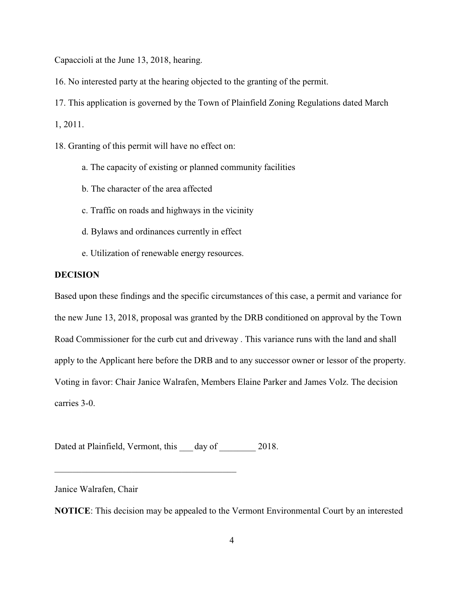Capaccioli at the June 13, 2018, hearing.

16. No interested party at the hearing objected to the granting of the permit.

17. This application is governed by the Town of Plainfield Zoning Regulations dated March

1, 2011.

18. Granting of this permit will have no effect on:

- a. The capacity of existing or planned community facilities
- b. The character of the area affected
- c. Traffic on roads and highways in the vicinity
- d. Bylaws and ordinances currently in effect
- e. Utilization of renewable energy resources.

# **DECISION**

Based upon these findings and the specific circumstances of this case, a permit and variance for the new June 13, 2018, proposal was granted by the DRB conditioned on approval by the Town Road Commissioner for the curb cut and driveway . This variance runs with the land and shall apply to the Applicant here before the DRB and to any successor owner or lessor of the property. Voting in favor: Chair Janice Walrafen, Members Elaine Parker and James Volz. The decision carries 3-0.

Dated at Plainfield, Vermont, this day of 2018.

 $\overline{\mathcal{L}}$  , and the state of the state of the state of the state of the state of the state of the state of the state of the state of the state of the state of the state of the state of the state of the state of the stat

Janice Walrafen, Chair

**NOTICE**: This decision may be appealed to the Vermont Environmental Court by an interested